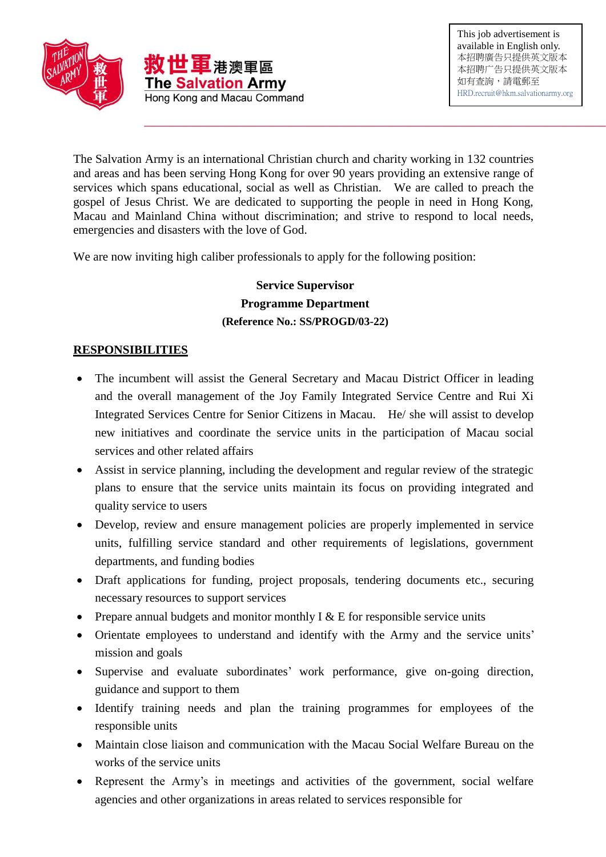

The Salvation Army is an international Christian church and charity working in 132 countries and areas and has been serving Hong Kong for over 90 years providing an extensive range of services which spans educational, social as well as Christian. We are called to preach the gospel of Jesus Christ. We are dedicated to supporting the people in need in Hong Kong, Macau and Mainland China without discrimination; and strive to respond to local needs, emergencies and disasters with the love of God.

We are now inviting high caliber professionals to apply for the following position:

## **Service Supervisor Programme Department (Reference No.: SS/PROGD/03-22)**

## **RESPONSIBILITIES**

- The incumbent will assist the General Secretary and Macau District Officer in leading and the overall management of the Joy Family Integrated Service Centre and Rui Xi Integrated Services Centre for Senior Citizens in Macau. He/ she will assist to develop new initiatives and coordinate the service units in the participation of Macau social services and other related affairs
- Assist in service planning, including the development and regular review of the strategic plans to ensure that the service units maintain its focus on providing integrated and quality service to users
- Develop, review and ensure management policies are properly implemented in service units, fulfilling service standard and other requirements of legislations, government departments, and funding bodies
- Draft applications for funding, project proposals, tendering documents etc., securing necessary resources to support services
- Prepare annual budgets and monitor monthly  $I \& E$  for responsible service units
- Orientate employees to understand and identify with the Army and the service units' mission and goals
- Supervise and evaluate subordinates' work performance, give on-going direction, guidance and support to them
- Identify training needs and plan the training programmes for employees of the responsible units
- Maintain close liaison and communication with the Macau Social Welfare Bureau on the works of the service units
- Represent the Army's in meetings and activities of the government, social welfare agencies and other organizations in areas related to services responsible for